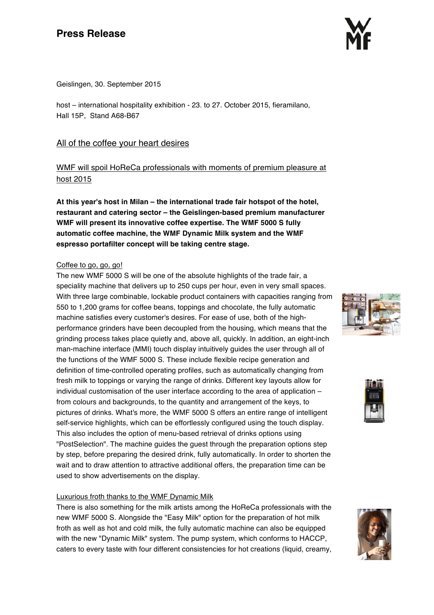# **Press Release**



Geislingen, 30. September 2015

host – international hospitality exhibition - 23. to 27. October 2015, fieramilano, Hall 15P, Stand A68-B67

# All of the coffee your heart desires

# WMF will spoil HoReCa professionals with moments of premium pleasure at host 2015

**At this year's host in Milan – the international trade fair hotspot of the hotel, restaurant and catering sector – the Geislingen-based premium manufacturer WMF will present its innovative coffee expertise. The WMF 5000 S fully automatic coffee machine, the WMF Dynamic Milk system and the WMF espresso portafilter concept will be taking centre stage.**

## Coffee to go, go, go!

The new WMF 5000 S will be one of the absolute highlights of the trade fair, a speciality machine that delivers up to 250 cups per hour, even in very small spaces. With three large combinable, lockable product containers with capacities ranging from 550 to 1,200 grams for coffee beans, toppings and chocolate, the fully automatic machine satisfies every customer's desires. For ease of use, both of the highperformance grinders have been decoupled from the housing, which means that the grinding process takes place quietly and, above all, quickly. In addition, an eight-inch man-machine interface (MMI) touch display intuitively guides the user through all of the functions of the WMF 5000 S. These include flexible recipe generation and definition of time-controlled operating profiles, such as automatically changing from fresh milk to toppings or varying the range of drinks. Different key layouts allow for individual customisation of the user interface according to the area of application – from colours and backgrounds, to the quantity and arrangement of the keys, to pictures of drinks. What's more, the WMF 5000 S offers an entire range of intelligent self-service highlights, which can be effortlessly configured using the touch display. This also includes the option of menu-based retrieval of drinks options using "PostSelection". The machine guides the guest through the preparation options step by step, before preparing the desired drink, fully automatically. In order to shorten the wait and to draw attention to attractive additional offers, the preparation time can be used to show advertisements on the display.

# Luxurious froth thanks to the WMF Dynamic Milk

There is also something for the milk artists among the HoReCa professionals with the new WMF 5000 S. Alongside the "Easy Milk" option for the preparation of hot milk froth as well as hot and cold milk, the fully automatic machine can also be equipped with the new "Dynamic Milk" system. The pump system, which conforms to HACCP, caters to every taste with four different consistencies for hot creations (liquid, creamy,





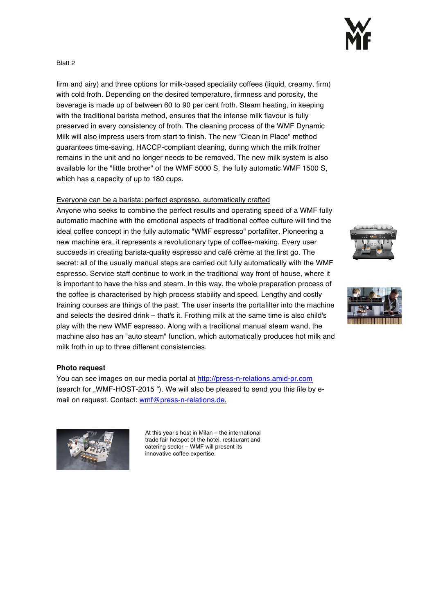#### Blatt 2

firm and airy) and three options for milk-based speciality coffees (liquid, creamy, firm) with cold froth. Depending on the desired temperature, firmness and porosity, the beverage is made up of between 60 to 90 per cent froth. Steam heating, in keeping with the traditional barista method, ensures that the intense milk flavour is fully preserved in every consistency of froth. The cleaning process of the WMF Dynamic Milk will also impress users from start to finish. The new "Clean in Place" method guarantees time-saving, HACCP-compliant cleaning, during which the milk frother remains in the unit and no longer needs to be removed. The new milk system is also available for the "little brother" of the WMF 5000 S, the fully automatic WMF 1500 S, which has a capacity of up to 180 cups.

### Everyone can be a barista: perfect espresso, automatically crafted

Anyone who seeks to combine the perfect results and operating speed of a WMF fully automatic machine with the emotional aspects of traditional coffee culture will find the ideal coffee concept in the fully automatic "WMF espresso" portafilter. Pioneering a new machine era, it represents a revolutionary type of coffee-making. Every user succeeds in creating barista-quality espresso and café crème at the first go. The secret: all of the usually manual steps are carried out fully automatically with the WMF espresso. Service staff continue to work in the traditional way front of house, where it is important to have the hiss and steam. In this way, the whole preparation process of the coffee is characterised by high process stability and speed. Lengthy and costly training courses are things of the past. The user inserts the portafilter into the machine and selects the desired drink – that's it. Frothing milk at the same time is also child's play with the new WMF espresso. Along with a traditional manual steam wand, the machine also has an "auto steam" function, which automatically produces hot milk and milk froth in up to three different consistencies.





#### **Photo request**

You can see images on our media portal at http://press-n-relations.amid-pr.com (search for ..WMF-HOST-2015 "). We will also be pleased to send you this file by email on request. Contact: wmf@press-n-relations.de.



At this year's host in Milan – the international trade fair hotspot of the hotel, restaurant and catering sector – WMF will present its innovative coffee expertise.